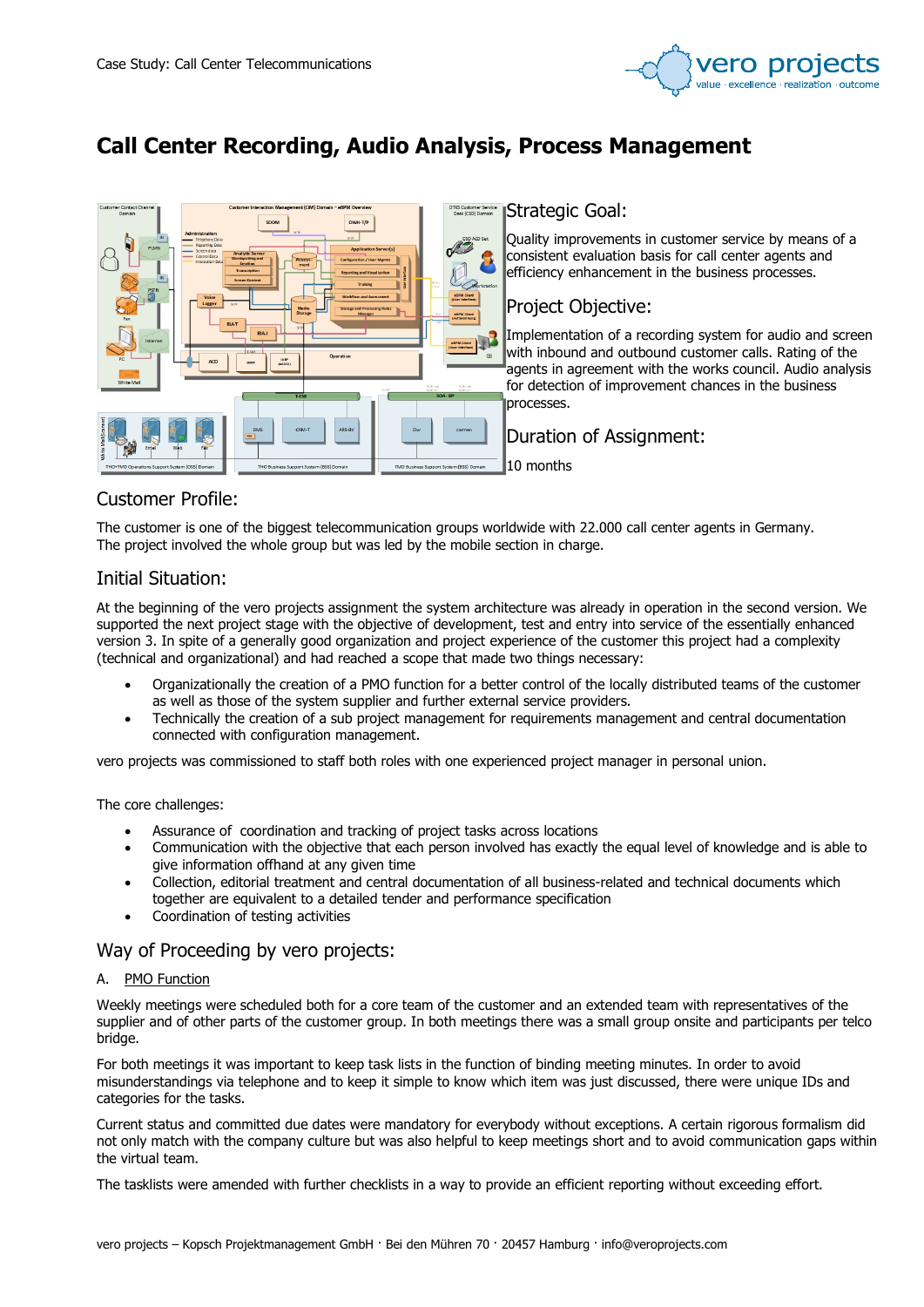

# Call Center Recording, Audio Analysis, Process Management



# Customer Profile:

The customer is one of the biggest telecommunication groups worldwide with 22.000 call center agents in Germany. The project involved the whole group but was led by the mobile section in charge.

# Initial Situation:

At the beginning of the vero projects assignment the system architecture was already in operation in the second version. We supported the next project stage with the objective of development, test and entry into service of the essentially enhanced version 3. In spite of a generally good organization and project experience of the customer this project had a complexity (technical and organizational) and had reached a scope that made two things necessary:

- Organizationally the creation of a PMO function for a better control of the locally distributed teams of the customer as well as those of the system supplier and further external service providers.
- Technically the creation of a sub project management for requirements management and central documentation connected with configuration management.

vero projects was commissioned to staff both roles with one experienced project manager in personal union.

## The core challenges:

- Assurance of coordination and tracking of project tasks across locations
- Communication with the objective that each person involved has exactly the equal level of knowledge and is able to give information offhand at any given time
- Collection, editorial treatment and central documentation of all business-related and technical documents which together are equivalent to a detailed tender and performance specification
- Coordination of testing activities

## Way of Proceeding by vero projects:

## A. PMO Function

Weekly meetings were scheduled both for a core team of the customer and an extended team with representatives of the supplier and of other parts of the customer group. In both meetings there was a small group onsite and participants per telco bridge.

For both meetings it was important to keep task lists in the function of binding meeting minutes. In order to avoid misunderstandings via telephone and to keep it simple to know which item was just discussed, there were unique IDs and categories for the tasks.

Current status and committed due dates were mandatory for everybody without exceptions. A certain rigorous formalism did not only match with the company culture but was also helpful to keep meetings short and to avoid communication gaps within the virtual team.

The tasklists were amended with further checklists in a way to provide an efficient reporting without exceeding effort.